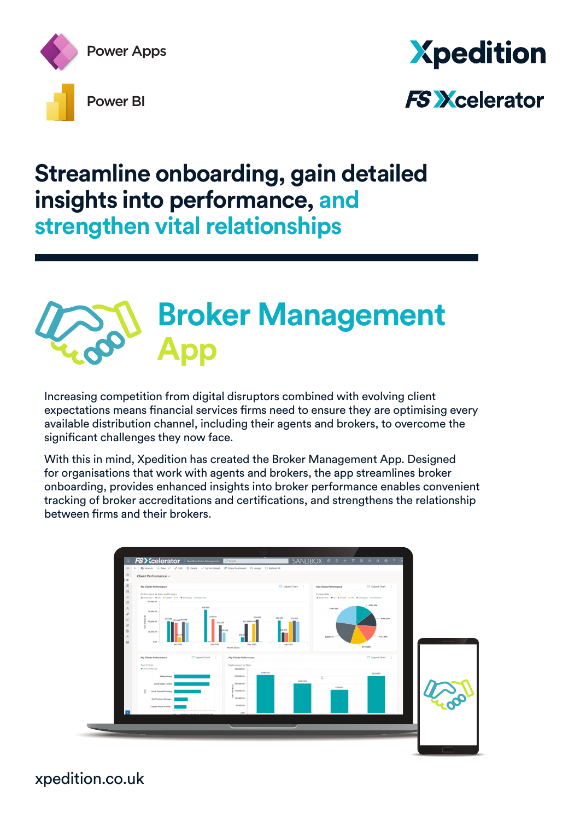

## **Xpedition FS Xcelerator**

### **Streamline onboarding, gain detailed insights into performance, and strengthen vital relationships**

### **Broker Management App**

Increasing competition from digital disruptors combined with evolving client expectations means financial services firms need to ensure they are optimising every available distribution channel, including their agents and brokers, to overcome the significant challenges they now face.

With this in mind, Xpedition has created the Broker Management App. Designed for organisations that work with agents and brokers, the app streamlines broker onboarding, provides enhanced insights into broker performance enables convenient tracking of broker accreditations and certifications, and strengthens the relationship between firms and their brokers.



xpedition.co.uk